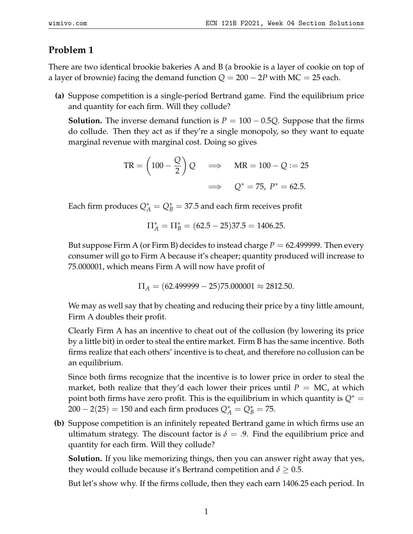## **Problem 1**

There are two identical brookie bakeries A and B (a brookie is a layer of cookie on top of a layer of brownie) facing the demand function  $Q = 200 - 2P$  with MC = 25 each.

**(a)** Suppose competition is a single-period Bertrand game. Find the equilibrium price and quantity for each firm. Will they collude?

**Solution.** The inverse demand function is  $P = 100 - 0.5Q$ . Suppose that the firms do collude. Then they act as if they're a single monopoly, so they want to equate marginal revenue with marginal cost. Doing so gives

$$
TR = \left(100 - \frac{Q}{2}\right)Q \implies MR = 100 - Q := 25
$$

$$
\implies Q^* = 75, P^* = 62.5.
$$

Each firm produces  $Q^*_A = Q^*_B = 37.5$  and each firm receives profit

$$
\Pi_A^* = \Pi_B^* = (62.5 - 25)37.5 = 1406.25.
$$

But suppose Firm A (or Firm B) decides to instead charge  $P = 62.499999$ . Then every consumer will go to Firm A because it's cheaper; quantity produced will increase to 75.000001, which means Firm A will now have profit of

$$
\Pi_A = (62.499999 - 25)75.000001 \approx 2812.50.
$$

We may as well say that by cheating and reducing their price by a tiny little amount, Firm A doubles their profit.

Clearly Firm A has an incentive to cheat out of the collusion (by lowering its price by a little bit) in order to steal the entire market. Firm B has the same incentive. Both firms realize that each others' incentive is to cheat, and therefore no collusion can be an equilibrium.

Since both firms recognize that the incentive is to lower price in order to steal the market, both realize that they'd each lower their prices until  $P = MC$ , at which point both firms have zero profit. This is the equilibrium in which quantity is  $Q^* =$  $200 - 2(25) = 150$  and each firm produces  $Q_A^* = Q_B^* = 75$ .

**(b)** Suppose competition is an infinitely repeated Bertrand game in which firms use an ultimatum strategy. The discount factor is  $\delta = .9$ . Find the equilibrium price and quantity for each firm. Will they collude?

**Solution.** If you like memorizing things, then you can answer right away that yes, they would collude because it's Bertrand competition and  $\delta \geq 0.5$ .

But let's show why. If the firms collude, then they each earn 1406.25 each period. In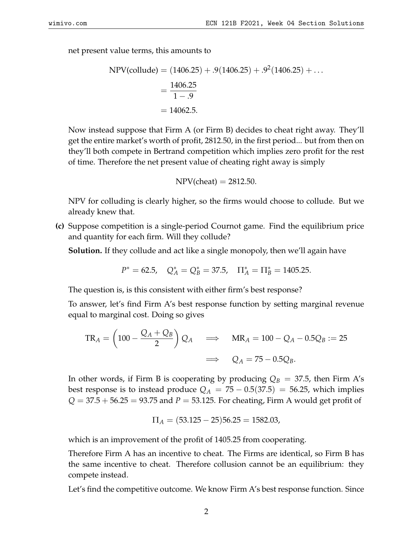net present value terms, this amounts to

NPV(collude) = 
$$
(1406.25) + .9(1406.25) + .9^2(1406.25) + ...
$$
  
=  $\frac{1406.25}{1 - .9}$   
= 14062.5.

Now instead suppose that Firm A (or Firm B) decides to cheat right away. They'll get the entire market's worth of profit, 2812.50, in the first period... but from then on they'll both compete in Bertrand competition which implies zero profit for the rest of time. Therefore the net present value of cheating right away is simply

$$
NPV(cheat) = 2812.50.
$$

NPV for colluding is clearly higher, so the firms would choose to collude. But we already knew that.

**(c)** Suppose competition is a single-period Cournot game. Find the equilibrium price and quantity for each firm. Will they collude?

**Solution.** If they collude and act like a single monopoly, then we'll again have

$$
P^* = 62.5
$$
,  $Q_A^* = Q_B^* = 37.5$ ,  $\Pi_A^* = \Pi_B^* = 1405.25$ .

The question is, is this consistent with either firm's best response?

To answer, let's find Firm A's best response function by setting marginal revenue equal to marginal cost. Doing so gives

$$
TR_A = \left(100 - \frac{Q_A + Q_B}{2}\right) Q_A \implies MR_A = 100 - Q_A - 0.5Q_B := 25
$$
  

$$
\implies Q_A = 75 - 0.5Q_B.
$$

In other words, if Firm B is cooperating by producing  $Q_B = 37.5$ , then Firm A's best response is to instead produce  $Q_A = 75 - 0.5(37.5) = 56.25$ , which implies  $Q = 37.5 + 56.25 = 93.75$  and  $P = 53.125$ . For cheating, Firm A would get profit of

$$
\Pi_A = (53.125 - 25)56.25 = 1582.03,
$$

which is an improvement of the profit of 1405.25 from cooperating.

Therefore Firm A has an incentive to cheat. The Firms are identical, so Firm B has the same incentive to cheat. Therefore collusion cannot be an equilibrium: they compete instead.

Let's find the competitive outcome. We know Firm A's best response function. Since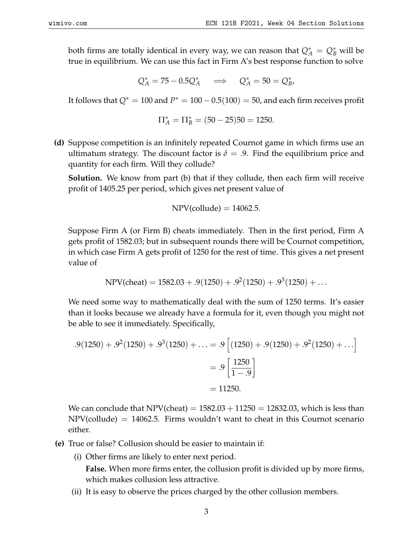both firms are totally identical in every way, we can reason that  $Q_A^* = Q_B^*$  will be true in equilibrium. We can use this fact in Firm A's best response function to solve

$$
Q_A^* = 75 - 0.5Q_A^* \quad \implies \quad Q_A^* = 50 = Q_B^*,
$$

It follows that  $Q^* = 100$  and  $P^* = 100 - 0.5(100) = 50$ , and each firm receives profit

$$
\Pi_A^* = \Pi_B^* = (50 - 25)50 = 1250.
$$

**(d)** Suppose competition is an infinitely repeated Cournot game in which firms use an ultimatum strategy. The discount factor is  $\delta = .9$ . Find the equilibrium price and quantity for each firm. Will they collude?

**Solution.** We know from part (b) that if they collude, then each firm will receive profit of 1405.25 per period, which gives net present value of

$$
NPV(collude) = 14062.5.
$$

Suppose Firm A (or Firm B) cheats immediately. Then in the first period, Firm A gets profit of 1582.03; but in subsequent rounds there will be Cournot competition, in which case Firm A gets profit of 1250 for the rest of time. This gives a net present value of

$$
NPV(cheat) = 1582.03 + .9(1250) + .92(1250) + .93(1250) + ...
$$

We need some way to mathematically deal with the sum of 1250 terms. It's easier than it looks because we already have a formula for it, even though you might not be able to see it immediately. Specifically,

$$
.9(1250) + .92(1250) + .93(1250) + ... = .9 [(1250) + .9(1250) + .92(1250) + ...]
$$

$$
= .9 \left[ \frac{1250}{1 - .9} \right]
$$

$$
= 11250.
$$

We can conclude that NPV(cheat)  $= 1582.03 + 11250 = 12832.03$ , which is less than  $NPV$ (collude) = 14062.5. Firms wouldn't want to cheat in this Cournot scenario either.

- **(e)** True or false? Collusion should be easier to maintain if:
	- (i) Other firms are likely to enter next period. **False.** When more firms enter, the collusion profit is divided up by more firms, which makes collusion less attractive.
	- (ii) It is easy to observe the prices charged by the other collusion members.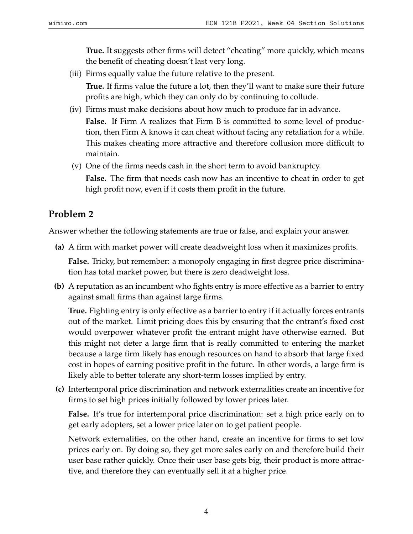**True.** It suggests other firms will detect "cheating" more quickly, which means the benefit of cheating doesn't last very long.

(iii) Firms equally value the future relative to the present.

**True.** If firms value the future a lot, then they'll want to make sure their future profits are high, which they can only do by continuing to collude.

(iv) Firms must make decisions about how much to produce far in advance.

**False.** If Firm A realizes that Firm B is committed to some level of production, then Firm A knows it can cheat without facing any retaliation for a while. This makes cheating more attractive and therefore collusion more difficult to maintain.

(v) One of the firms needs cash in the short term to avoid bankruptcy. **False.** The firm that needs cash now has an incentive to cheat in order to get high profit now, even if it costs them profit in the future.

## **Problem 2**

Answer whether the following statements are true or false, and explain your answer.

**(a)** A firm with market power will create deadweight loss when it maximizes profits.

**False.** Tricky, but remember: a monopoly engaging in first degree price discrimination has total market power, but there is zero deadweight loss.

**(b)** A reputation as an incumbent who fights entry is more effective as a barrier to entry against small firms than against large firms.

**True.** Fighting entry is only effective as a barrier to entry if it actually forces entrants out of the market. Limit pricing does this by ensuring that the entrant's fixed cost would overpower whatever profit the entrant might have otherwise earned. But this might not deter a large firm that is really committed to entering the market because a large firm likely has enough resources on hand to absorb that large fixed cost in hopes of earning positive profit in the future. In other words, a large firm is likely able to better tolerate any short-term losses implied by entry.

**(c)** Intertemporal price discrimination and network externalities create an incentive for firms to set high prices initially followed by lower prices later.

**False.** It's true for intertemporal price discrimination: set a high price early on to get early adopters, set a lower price later on to get patient people.

Network externalities, on the other hand, create an incentive for firms to set low prices early on. By doing so, they get more sales early on and therefore build their user base rather quickly. Once their user base gets big, their product is more attractive, and therefore they can eventually sell it at a higher price.